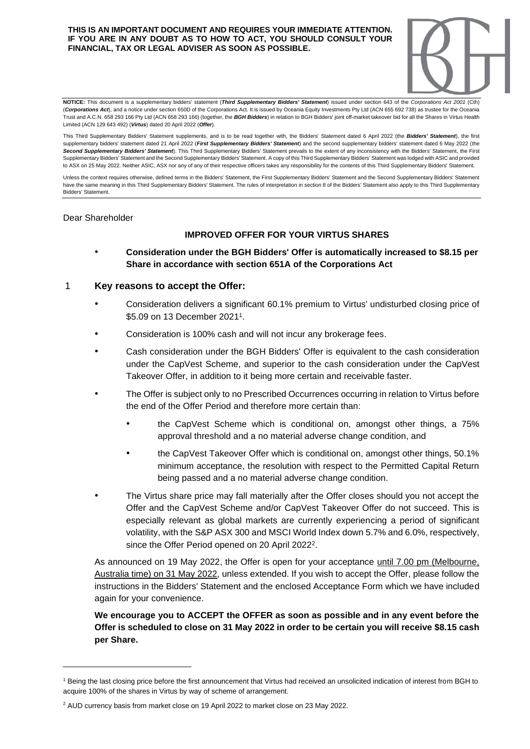#### **THIS IS AN IMPORTANT DOCUMENT AND REQUIRES YOUR IMMEDIATE ATTENTION. IF YOU ARE IN ANY DOUBT AS TO HOW TO ACT, YOU SHOULD CONSULT YOUR FINANCIAL, TAX OR LEGAL ADVISER AS SOON AS POSSIBLE.**



**NOTICE:** This document is a supplementary bidders' statement (*Third Supplementary Bidders' Statement*) issued under section 643 of the *Corporations Act 2001* (Cth) (*Corporations Act*), and a notice under section 650D of the Corporations Act. It is issued by Oceania Equity Investments Pty Ltd (ACN 655 692 738) as trustee for the Oceania Trust and A.C.N. 658 293 166 Pty Ltd (ACN 658 293 166) (together, the *BGH Bidders*) in relation to BGH Bidders' joint off-market takeover bid for all the Shares in Virtus Health Limited (ACN 129 643 492) (*Virtus*) dated 20 April 2022 (*Offer*).

This Third Supplementary Bidders' Statement supplements, and is to be read together with, the Bidders' Statement dated 6 April 2022 (the *Bidders' Statement*), the first supplementary bidders' statement dated 21 April 2022 (*First Supplementary Bidders' Statement*) and the second supplementary bidders' statement dated 6 May 2022 (the Second Sunnlementary Bidders' Statement). This Third Supplementary Bidders' Statement prevails to the extent of any inconsistency with the Bidders' Statement, the First Supplementary Bidders' Statement and the Second Supplementary Bidders' Statement. A copy of this Third Supplementary Bidders' Statement was lodged with ASIC and provided to ASX on 25 May 2022. Neither ASIC, ASX nor any of any of their respective officers takes any responsibility for the contents of this Third Supplementary Bidders' Statement.

Unless the context requires otherwise, defined terms in the Bidders' Statement, the First Supplementary Bidders' Statement and the Second Supplementary Bidders' Statement have the same meaning in this Third Supplementary Bidders' Statement. The rules of interpretation in section 8 of the Bidders' Statement also apply to this Third Supplementary Bidders' Statement.

#### Dear Shareholder

#### **IMPROVED OFFER FOR YOUR VIRTUS SHARES**

• **Consideration under the BGH Bidders' Offer is automatically increased to \$8.15 per Share in accordance with section 651A of the Corporations Act**

#### 1 **Key reasons to accept the Offer:**

- Consideration delivers a significant 60.1% premium to Virtus' undisturbed closing price of \$5.09 on 13 December 2021<sup>1</sup>.
- Consideration is 100% cash and will not incur any brokerage fees.
- Cash consideration under the BGH Bidders' Offer is equivalent to the cash consideration under the CapVest Scheme, and superior to the cash consideration under the CapVest Takeover Offer, in addition to it being more certain and receivable faster.
- The Offer is subject only to no Prescribed Occurrences occurring in relation to Virtus before the end of the Offer Period and therefore more certain than:
	- the CapVest Scheme which is conditional on, amongst other things, a 75% approval threshold and a no material adverse change condition, and
	- the CapVest Takeover Offer which is conditional on, amongst other things, 50.1% minimum acceptance, the resolution with respect to the Permitted Capital Return being passed and a no material adverse change condition.
- The Virtus share price may fall materially after the Offer closes should you not accept the Offer and the CapVest Scheme and/or CapVest Takeover Offer do not succeed. This is especially relevant as global markets are currently experiencing a period of significant volatility, with the S&P ASX 300 and MSCI World Index down 5.7% and 6.0%, respectively, since the Offer Period opened on 20 April 2022<sup>2</sup>.

As announced on 19 May 2022, the Offer is open for your acceptance until 7.00 pm (Melbourne, Australia time) on 31 May 2022, unless extended. If you wish to accept the Offer, please follow the instructions in the Bidders' Statement and the enclosed Acceptance Form which we have included again for your convenience.

### **We encourage you to ACCEPT the OFFER as soon as possible and in any event before the Offer is scheduled to close on 31 May 2022 in order to be certain you will receive \$8.15 cash per Share.**

<sup>1</sup> Being the last closing price before the first announcement that Virtus had received an unsolicited indication of interest from BGH to acquire 100% of the shares in Virtus by way of scheme of arrangement.

<sup>2</sup> AUD currency basis from market close on 19 April 2022 to market close on 23 May 2022.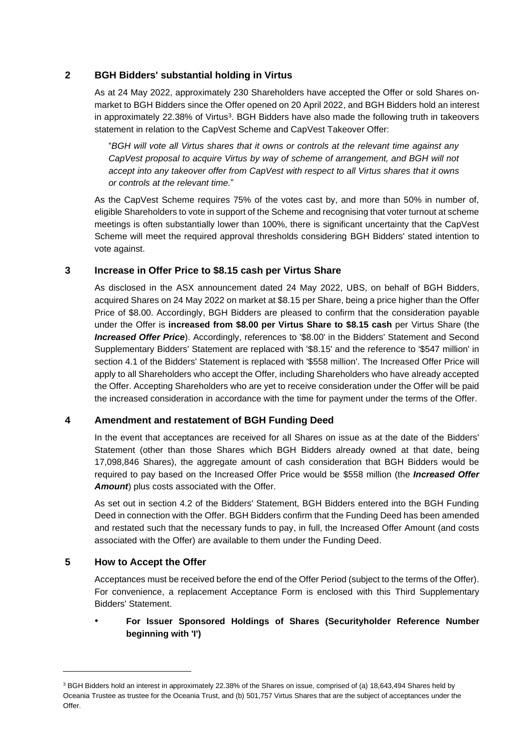# **2 BGH Bidders' substantial holding in Virtus**

As at 24 May 2022, approximately 230 Shareholders have accepted the Offer or sold Shares onmarket to BGH Bidders since the Offer opened on 20 April 2022, and BGH Bidders hold an interest in approximately 22.38% of Virtus<sup>3</sup>. BGH Bidders have also made the following truth in takeovers statement in relation to the CapVest Scheme and CapVest Takeover Offer:

"*BGH will vote all Virtus shares that it owns or controls at the relevant time against any CapVest proposal to acquire Virtus by way of scheme of arrangement, and BGH will not accept into any takeover offer from CapVest with respect to all Virtus shares that it owns or controls at the relevant time.*"

As the CapVest Scheme requires 75% of the votes cast by, and more than 50% in number of, eligible Shareholders to vote in support of the Scheme and recognising that voter turnout at scheme meetings is often substantially lower than 100%, there is significant uncertainty that the CapVest Scheme will meet the required approval thresholds considering BGH Bidders' stated intention to vote against.

# **3 Increase in Offer Price to \$8.15 cash per Virtus Share**

As disclosed in the ASX announcement dated 24 May 2022, UBS, on behalf of BGH Bidders, acquired Shares on 24 May 2022 on market at \$8.15 per Share, being a price higher than the Offer Price of \$8.00. Accordingly, BGH Bidders are pleased to confirm that the consideration payable under the Offer is **increased from \$8.00 per Virtus Share to \$8.15 cash** per Virtus Share (the *Increased Offer Price*). Accordingly, references to '\$8.00' in the Bidders' Statement and Second Supplementary Bidders' Statement are replaced with '\$8.15' and the reference to '\$547 million' in section 4.1 of the Bidders' Statement is replaced with '\$558 million'. The Increased Offer Price will apply to all Shareholders who accept the Offer, including Shareholders who have already accepted the Offer. Accepting Shareholders who are yet to receive consideration under the Offer will be paid the increased consideration in accordance with the time for payment under the terms of the Offer.

## **4 Amendment and restatement of BGH Funding Deed**

In the event that acceptances are received for all Shares on issue as at the date of the Bidders' Statement (other than those Shares which BGH Bidders already owned at that date, being 17,098,846 Shares), the aggregate amount of cash consideration that BGH Bidders would be required to pay based on the Increased Offer Price would be \$558 million (the *Increased Offer Amount*) plus costs associated with the Offer.

As set out in section 4.2 of the Bidders' Statement, BGH Bidders entered into the BGH Funding Deed in connection with the Offer. BGH Bidders confirm that the Funding Deed has been amended and restated such that the necessary funds to pay, in full, the Increased Offer Amount (and costs associated with the Offer) are available to them under the Funding Deed.

## **5 How to Accept the Offer**

Acceptances must be received before the end of the Offer Period (subject to the terms of the Offer). For convenience, a replacement Acceptance Form is enclosed with this Third Supplementary Bidders' Statement.

## • **For Issuer Sponsored Holdings of Shares (Securityholder Reference Number beginning with 'I')**

<sup>&</sup>lt;sup>3</sup> BGH Bidders hold an interest in approximately 22.38% of the Shares on issue, comprised of (a) 18,643,494 Shares held by Oceania Trustee as trustee for the Oceania Trust, and (b) 501,757 Virtus Shares that are the subject of acceptances under the Offer.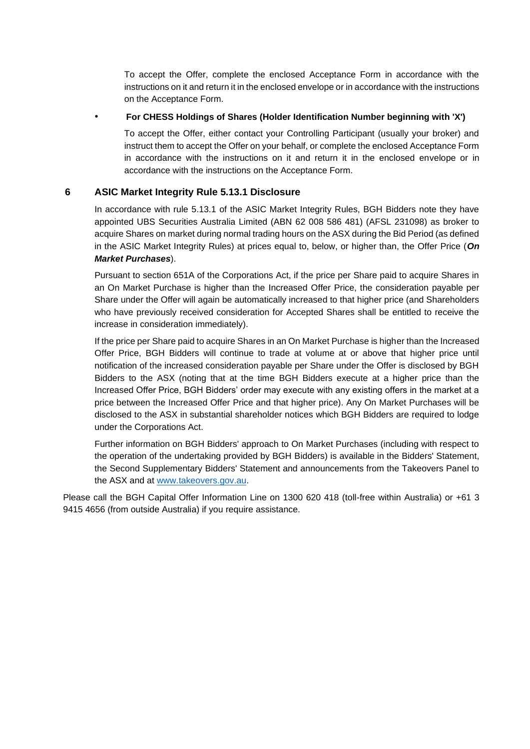To accept the Offer, complete the enclosed Acceptance Form in accordance with the instructions on it and return it in the enclosed envelope or in accordance with the instructions on the Acceptance Form.

#### • **For CHESS Holdings of Shares (Holder Identification Number beginning with 'X')**

To accept the Offer, either contact your Controlling Participant (usually your broker) and instruct them to accept the Offer on your behalf, or complete the enclosed Acceptance Form in accordance with the instructions on it and return it in the enclosed envelope or in accordance with the instructions on the Acceptance Form.

### **6 ASIC Market Integrity Rule 5.13.1 Disclosure**

In accordance with rule 5.13.1 of the ASIC Market Integrity Rules, BGH Bidders note they have appointed UBS Securities Australia Limited (ABN 62 008 586 481) (AFSL 231098) as broker to acquire Shares on market during normal trading hours on the ASX during the Bid Period (as defined in the ASIC Market Integrity Rules) at prices equal to, below, or higher than, the Offer Price (*On Market Purchases*).

Pursuant to section 651A of the Corporations Act, if the price per Share paid to acquire Shares in an On Market Purchase is higher than the Increased Offer Price, the consideration payable per Share under the Offer will again be automatically increased to that higher price (and Shareholders who have previously received consideration for Accepted Shares shall be entitled to receive the increase in consideration immediately).

If the price per Share paid to acquire Shares in an On Market Purchase is higher than the Increased Offer Price, BGH Bidders will continue to trade at volume at or above that higher price until notification of the increased consideration payable per Share under the Offer is disclosed by BGH Bidders to the ASX (noting that at the time BGH Bidders execute at a higher price than the Increased Offer Price, BGH Bidders' order may execute with any existing offers in the market at a price between the Increased Offer Price and that higher price). Any On Market Purchases will be disclosed to the ASX in substantial shareholder notices which BGH Bidders are required to lodge under the Corporations Act.

Further information on BGH Bidders' approach to On Market Purchases (including with respect to the operation of the undertaking provided by BGH Bidders) is available in the Bidders' Statement, the Second Supplementary Bidders' Statement and announcements from the Takeovers Panel to the ASX and at [www.takeovers.gov.au.](http://www.takeovers.gov.au/)

Please call the BGH Capital Offer Information Line on 1300 620 418 (toll-free within Australia) or +61 3 9415 4656 (from outside Australia) if you require assistance.